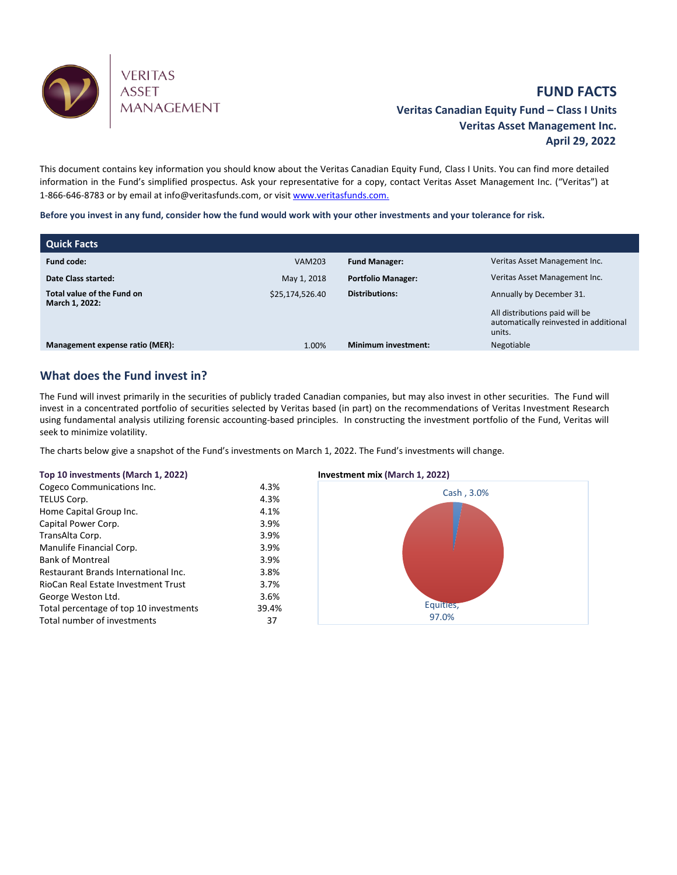

# **FUND FACTS Veritas Canadian Equity Fund – Class I Units Veritas Asset Management Inc. April 29, 2022**

This document contains key information you should know about the Veritas Canadian Equity Fund, Class I Units. You can find more detailed information in the Fund's simplified prospectus. Ask your representative for a copy, contact Veritas Asset Management Inc. ("Veritas") at 1-866-646-8783 or by email at info@veritasfunds.com, or visi[t www.veritasfunds.com.](http://www.alignvestcapital.com./)

**Before you invest in any fund, consider how the fund would work with your other investments and your tolerance for risk.**

| <b>Quick Facts</b>                           |                 |                            |                                                                                                                |
|----------------------------------------------|-----------------|----------------------------|----------------------------------------------------------------------------------------------------------------|
| <b>Fund code:</b>                            | <b>VAM203</b>   | <b>Fund Manager:</b>       | Veritas Asset Management Inc.                                                                                  |
| Date Class started:                          | May 1, 2018     | <b>Portfolio Manager:</b>  | Veritas Asset Management Inc.                                                                                  |
| Total value of the Fund on<br>March 1, 2022: | \$25,174,526.40 | <b>Distributions:</b>      | Annually by December 31.<br>All distributions paid will be<br>automatically reinvested in additional<br>units. |
| Management expense ratio (MER):              | 1.00%           | <b>Minimum investment:</b> | Negotiable                                                                                                     |

## **What does the Fund invest in?**

The Fund will invest primarily in the securities of publicly traded Canadian companies, but may also invest in other securities. The Fund will invest in a concentrated portfolio of securities selected by Veritas based (in part) on the recommendations of Veritas Investment Research using fundamental analysis utilizing forensic accounting-based principles. In constructing the investment portfolio of the Fund, Veritas will seek to minimize volatility.

The charts below give a snapshot of the Fund's investments on March 1, 2022. The Fund's investments will change.

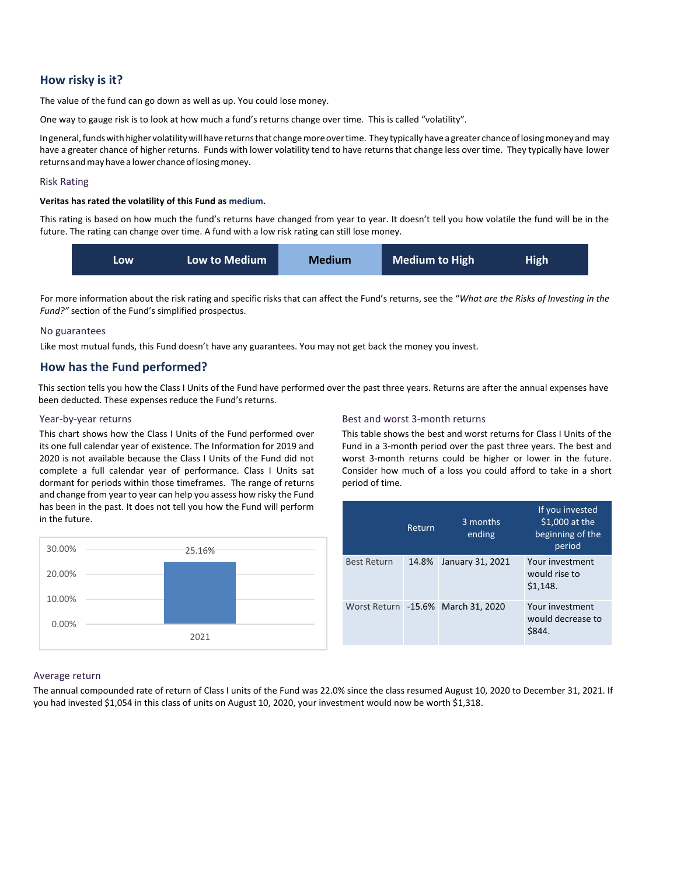## **How risky is it?**

The value of the fund can go down as well as up. You could lose money.

One way to gauge risk is to look at how much a fund's returns change over time. This is called "volatility".

Ingeneral, funds with higher volatility will have returns that change more over time. They typically have a greater chance of losing money and may have a greater chance of higher returns. Funds with lower volatility tend to have returns that change less over time. They typically have lower returns and may have a lower chance of losing money.

### Risk Rating

#### **Veritas has rated the volatility of this Fund as medium.**

This rating is based on how much the fund's returns have changed from year to year. It doesn't tell you how volatile the fund will be in the future. The rating can change over time. A fund with a low risk rating can still lose money.



For more information about the risk rating and specific risks that can affect the Fund's returns, see the "*What are the Risks of Investing in the Fund?"* section of the Fund's simplified prospectus.

#### No guarantees

Like most mutual funds, this Fund doesn't have any guarantees. You may not get back the money you invest.

## **How has the Fund performed?**

This section tells you how the Class I Units of the Fund have performed over the past three years. Returns are after the annual expenses have been deducted. These expenses reduce the Fund's returns.

### Year-by-year returns

This chart shows how the Class I Units of the Fund performed over its one full calendar year of existence. The Information for 2019 and 2020 is not available because the Class I Units of the Fund did not complete a full calendar year of performance. Class I Units sat dormant for periods within those timeframes. The range of returns and change from year to year can help you assess how risky the Fund has been in the past. It does not tell you how the Fund will perform in the future.



### Best and worst 3-month returns

This table shows the best and worst returns for Class I Units of the Fund in a 3-month period over the past three years. The best and worst 3-month returns could be higher or lower in the future. Consider how much of a loss you could afford to take in a short period of time.

|                    | Return | 3 months<br>ending                 | If you invested<br>$$1,000$ at the<br>beginning of the<br>period |
|--------------------|--------|------------------------------------|------------------------------------------------------------------|
| <b>Best Return</b> | 14.8%  | January 31, 2021                   | Your investment<br>would rise to<br>\$1,148.                     |
|                    |        | Worst Return -15.6% March 31, 2020 | Your investment<br>would decrease to<br>\$844.                   |

### Average return

The annual compounded rate of return of Class I units of the Fund was 22.0% since the class resumed August 10, 2020 to December 31, 2021. If you had invested \$1,054 in this class of units on August 10, 2020, your investment would now be worth \$1,318.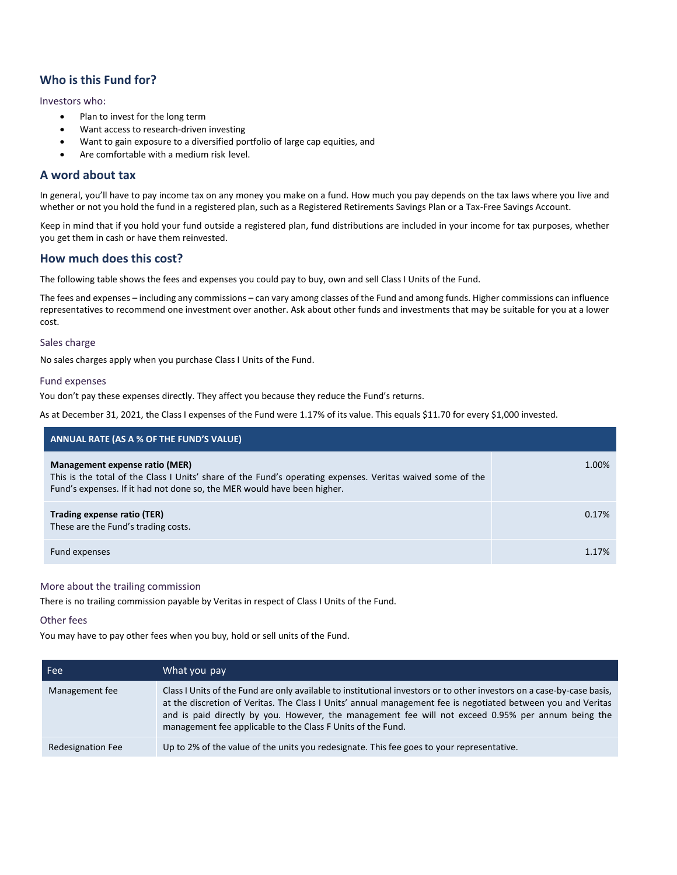## **Who is this Fund for?**

### Investors who:

- Plan to invest for the long term
- Want access to research-driven investing
- Want to gain exposure to a diversified portfolio of large cap equities, and
- Are comfortable with a medium risk level.

## **A word about tax**

In general, you'll have to pay income tax on any money you make on a fund. How much you pay depends on the tax laws where you live and whether or not you hold the fund in a registered plan, such as a Registered Retirements Savings Plan or a Tax-Free Savings Account.

Keep in mind that if you hold your fund outside a registered plan, fund distributions are included in your income for tax purposes, whether you get them in cash or have them reinvested.

## **How much does this cost?**

The following table shows the fees and expenses you could pay to buy, own and sell Class I Units of the Fund.

The fees and expenses – including any commissions – can vary among classes of the Fund and among funds. Higher commissions can influence representatives to recommend one investment over another. Ask about other funds and investments that may be suitable for you at a lower cost.

### Sales charge

No sales charges apply when you purchase Class I Units of the Fund.

### Fund expenses

You don't pay these expenses directly. They affect you because they reduce the Fund's returns.

As at December 31, 2021, the Class I expenses of the Fund were 1.17% of its value. This equals \$11.70 for every \$1,000 invested.

| ANNUAL RATE (AS A % OF THE FUND'S VALUE)                                                                                                                                                                                |       |
|-------------------------------------------------------------------------------------------------------------------------------------------------------------------------------------------------------------------------|-------|
| Management expense ratio (MER)<br>This is the total of the Class I Units' share of the Fund's operating expenses. Veritas waived some of the<br>Fund's expenses. If it had not done so, the MER would have been higher. | 1.00% |
| Trading expense ratio (TER)<br>These are the Fund's trading costs.                                                                                                                                                      | 0.17% |
| Fund expenses                                                                                                                                                                                                           | 1.17% |

### More about the trailing commission

There is no trailing commission payable by Veritas in respect of Class I Units of the Fund.

#### Other fees

You may have to pay other fees when you buy, hold or sell units of the Fund.

| Fee:              | What you pay                                                                                                                                                                                                                                                                                                                                                                                                |
|-------------------|-------------------------------------------------------------------------------------------------------------------------------------------------------------------------------------------------------------------------------------------------------------------------------------------------------------------------------------------------------------------------------------------------------------|
| Management fee    | Class I Units of the Fund are only available to institutional investors or to other investors on a case-by-case basis,<br>at the discretion of Veritas. The Class I Units' annual management fee is negotiated between you and Veritas<br>and is paid directly by you. However, the management fee will not exceed 0.95% per annum being the<br>management fee applicable to the Class F Units of the Fund. |
| Redesignation Fee | Up to 2% of the value of the units you redesignate. This fee goes to your representative.                                                                                                                                                                                                                                                                                                                   |